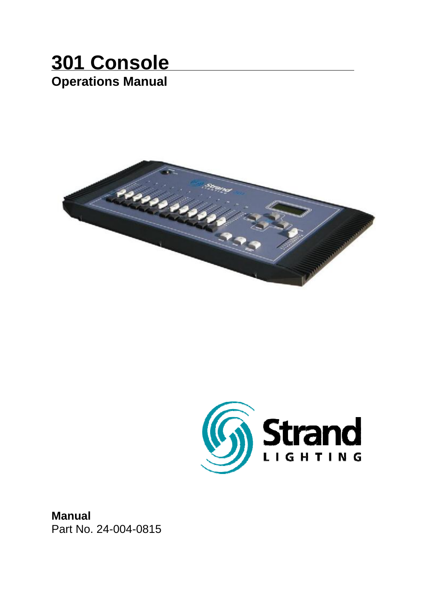# **301 Console Operations Manual**





**Manual** Part No. 24-004-0815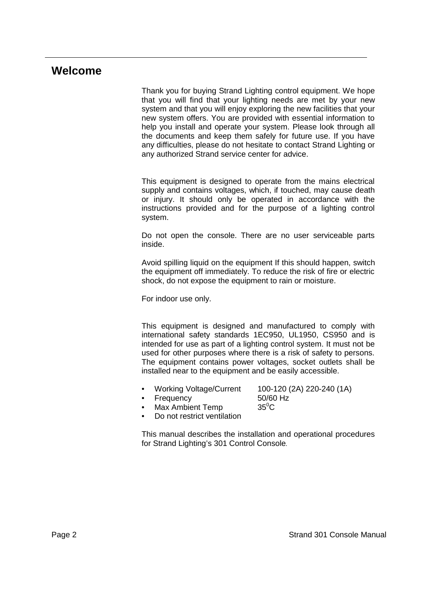### **Welcome**

Thank you for buying Strand Lighting control equipment. We hope that you will find that your lighting needs are met by your new system and that you will enjoy exploring the new facilities that your new system offers. You are provided with essential information to help you install and operate your system. Please look through all the documents and keep them safely for future use. If you have any difficulties, please do not hesitate to contact Strand Lighting or any authorized Strand service center for advice.

This equipment is designed to operate from the mains electrical supply and contains voltages, which, if touched, may cause death or injury. It should only be operated in accordance with the instructions provided and for the purpose of a lighting control system.

Do not open the console. There are no user serviceable parts inside.

Avoid spilling liquid on the equipment If this should happen, switch the equipment off immediately. To reduce the risk of fire or electric shock, do not expose the equipment to rain or moisture.

For indoor use only.

This equipment is designed and manufactured to comply with international safety standards 1EC950, UL1950, CS950 and is intended for use as part of a lighting control system. It must not be used for other purposes where there is a risk of safety to persons. The equipment contains power voltages, socket outlets shall be installed near to the equipment and be easily accessible.

• Working Voltage/Current 100-120 (2A) 220-240 (1A)

- Frequency
	- Max Ambient Temp  $35^{\circ}$ C
- Do not restrict ventilation

This manual describes the installation and operational procedures for Strand Lighting's 301 Control Console.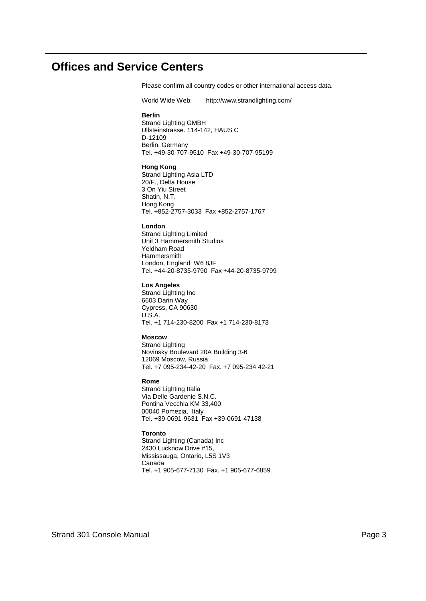### **Offices and Service Centers**

Please confirm all country codes or other international access data.

World Wide Web: http://www.strandlighting.com/

#### **Berlin**

Strand Lighting GMBH Ullsteinstrasse. 114-142, HAUS C D-12109 Berlin, Germany Tel. +49-30-707-9510 Fax +49-30-707-95199

#### **Hong Kong**

Strand Lighting Asia LTD 20/F., Delta House 3 On Yiu Street Shatin, N.T. Hong Kong Tel. +852-2757-3033 Fax +852-2757-1767

#### **London**

Strand Lighting Limited Unit 3 Hammersmith Studios Yeldham Road Hammersmith London, England W6 8JF Tel. +44-20-8735-9790 Fax +44-20-8735-9799

#### **Los Angeles**

Strand Lighting Inc 6603 Darin Way Cypress, CA 90630 U.S.A. Tel. +1 714-230-8200 Fax +1 714-230-8173

#### **Moscow**

Strand Lighting Novinsky Boulevard 20A Building 3-6 12069 Moscow, Russia Tel. +7 095-234-42-20 Fax. +7 095-234 42-21

#### **Rome**

Strand Lighting Italia Via Delle Gardenie S.N.C. Pontina Vecchia KM 33,400 00040 Pomezia, Italy Tel. +39-0691-9631 Fax +39-0691-47138

#### **Toronto**

Strand Lighting (Canada) Inc 2430 Lucknow Drive #15, Mississauga, Ontario, L5S 1V3 Canada Tel. +1 905-677-7130 Fax. +1 905-677-6859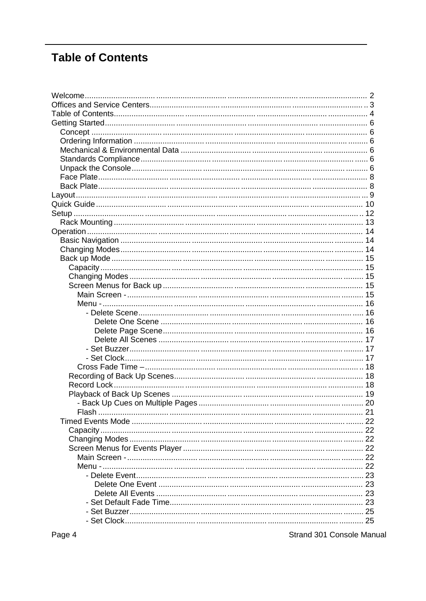# **Table of Contents**

Strand 301 Console Manual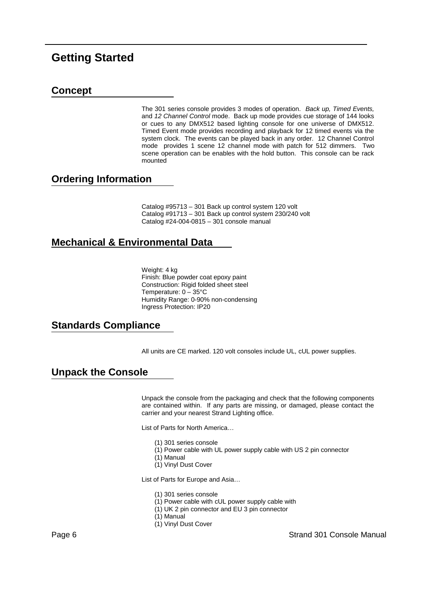### **Getting Started**

### **Concept**

The 301 series console provides 3 modes of operation. *Back up, Timed Events,* and *12 Channel Control* mode. Back up mode provides cue storage of 144 looks or cues to any DMX512 based lighting console for one universe of DMX512. Timed Event mode provides recording and playback for 12 timed events via the system clock. The events can be played back in any order. 12 Channel Control mode provides 1 scene 12 channel mode with patch for 512 dimmers. Two scene operation can be enables with the hold button. This console can be rack mounted

#### **Ordering Information**

Catalog #95713 – 301 Back up control system 120 volt Catalog #91713 – 301 Back up control system 230/240 volt Catalog #24-004-0815 – 301 console manual

### **Mechanical & Environmental Data**

Weight: 4 kg Finish: Blue powder coat epoxy paint Construction: Rigid folded sheet steel Temperature: 0 – 35°C Humidity Range: 0-90% non-condensing Ingress Protection: IP20

### **Standards Compliance**

All units are CE marked. 120 volt consoles include UL, cUL power supplies.

### **Unpack the Console**

Unpack the console from the packaging and check that the following components are contained within. If any parts are missing, or damaged, please contact the carrier and your nearest Strand Lighting office.

List of Parts for North America…

- (1) 301 series console
- (1) Power cable with UL power supply cable with US 2 pin connector
- (1) Manual
- (1) Vinyl Dust Cover

List of Parts for Europe and Asia…

- (1) 301 series console
- (1) Power cable with cUL power supply cable with
- (1) UK 2 pin connector and EU 3 pin connector
- (1) Manual
- (1) Vinyl Dust Cover

Page 6 Strand 301 Console Manual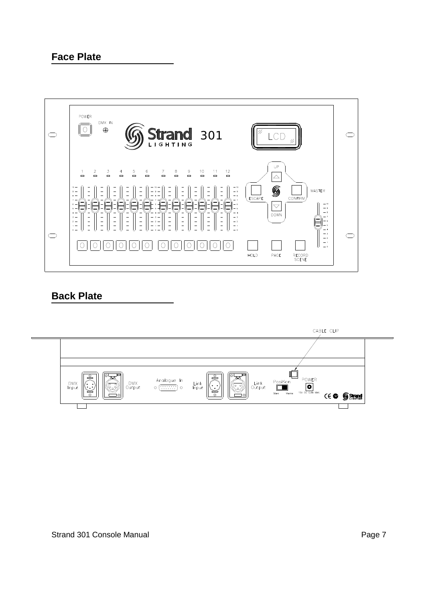### **Face Plate**



### **Back Plate**

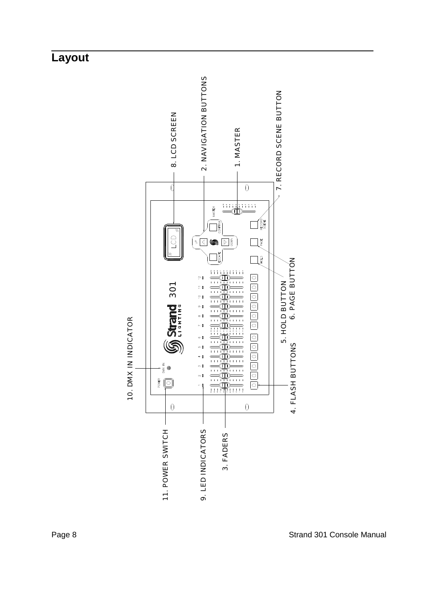# **Layout**

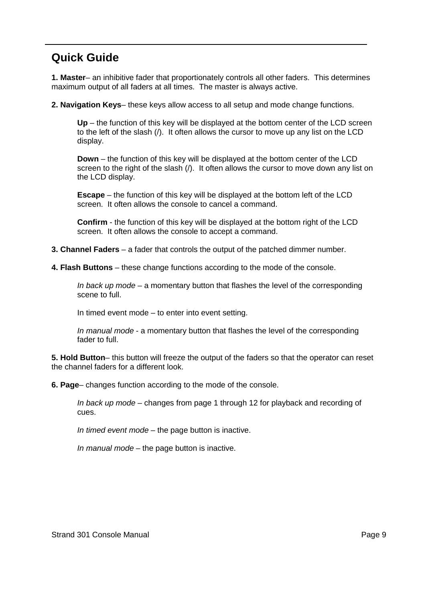## **Quick Guide**

**1. Master**– an inhibitive fader that proportionately controls all other faders. This determines maximum output of all faders at all times. The master is always active.

**2. Navigation Keys**– these keys allow access to all setup and mode change functions.

**Up** – the function of this key will be displayed at the bottom center of the LCD screen to the left of the slash (/). It often allows the cursor to move up any list on the LCD display.

**Down** – the function of this key will be displayed at the bottom center of the LCD screen to the right of the slash (/). It often allows the cursor to move down any list on the LCD display.

**Escape** – the function of this key will be displayed at the bottom left of the LCD screen. It often allows the console to cancel a command.

**Confirm** - the function of this key will be displayed at the bottom right of the LCD screen. It often allows the console to accept a command.

- **3. Channel Faders** a fader that controls the output of the patched dimmer number.
- **4. Flash Buttons** these change functions according to the mode of the console.

*In back up mode* – a momentary button that flashes the level of the corresponding scene to full.

In timed event mode – to enter into event setting.

*In manual mode* - a momentary button that flashes the level of the corresponding fader to full.

**5. Hold Button**– this button will freeze the output of the faders so that the operator can reset the channel faders for a different look.

**6. Page**– changes function according to the mode of the console.

*In back up mode* – changes from page 1 through 12 for playback and recording of cues.

*In timed event mode* – the page button is inactive.

*In manual mode* – the page button is inactive.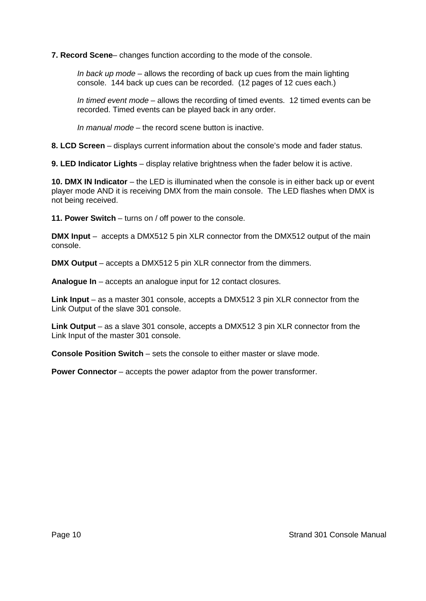**7. Record Scene**– changes function according to the mode of the console.

*In back up mode* – allows the recording of back up cues from the main lighting console. 144 back up cues can be recorded. (12 pages of 12 cues each.)

*In timed event mode* – allows the recording of timed events. 12 timed events can be recorded. Timed events can be played back in any order.

*In manual mode* – the record scene button is inactive.

**8. LCD Screen** – displays current information about the console's mode and fader status.

**9. LED Indicator Lights** – display relative brightness when the fader below it is active.

**10. DMX IN Indicator** – the LED is illuminated when the console is in either back up or event player mode AND it is receiving DMX from the main console. The LED flashes when DMX is not being received.

**11. Power Switch** – turns on / off power to the console.

**DMX Input** – accepts a DMX512 5 pin XLR connector from the DMX512 output of the main console.

**DMX Output** – accepts a DMX512 5 pin XLR connector from the dimmers.

**Analogue In** – accepts an analogue input for 12 contact closures.

**Link Input** – as a master 301 console, accepts a DMX512 3 pin XLR connector from the Link Output of the slave 301 console.

**Link Output** – as a slave 301 console, accepts a DMX512 3 pin XLR connector from the Link Input of the master 301 console.

**Console Position Switch** – sets the console to either master or slave mode.

**Power Connector** – accepts the power adaptor from the power transformer.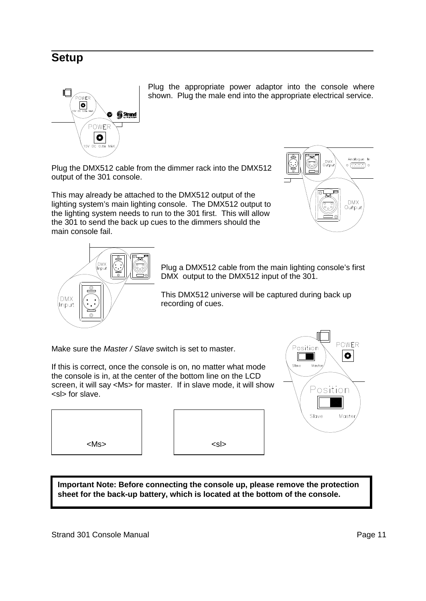## **Setup**



Plug the appropriate power adaptor into the console where shown. Plug the male end into the appropriate electrical service.

Plug the DMX512 cable from the dimmer rack into the DMX512 output of the 301 console.

This may already be attached to the DMX512 output of the lighting system's main lighting console. The DMX512 output to the lighting system needs to run to the 301 first. This will allow the 301 to send the back up cues to the dimmers should the main console fail.





Plug a DMX512 cable from the main lighting console's first DMX output to the DMX512 input of the 301.

This DMX512 universe will be captured during back up recording of cues.

Make sure the *Master / Slave* switch is set to master.

If this is correct, once the console is on, no matter what mode the console is in, at the center of the bottom line on the LCD screen, it will say <Ms> for master. If in slave mode, it will show <sl> for slave.







**Important Note: Before connecting the console up, please remove the protection sheet for the back-up battery, which is located at the bottom of the console.**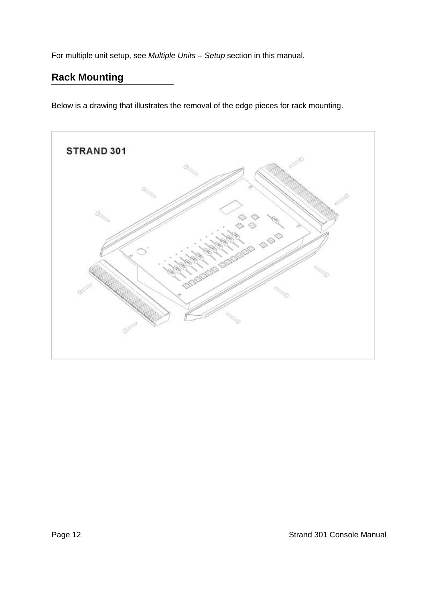For multiple unit setup, see *Multiple Units – Setup* section in this manual.

## **Rack Mounting**

Below is a drawing that illustrates the removal of the edge pieces for rack mounting.

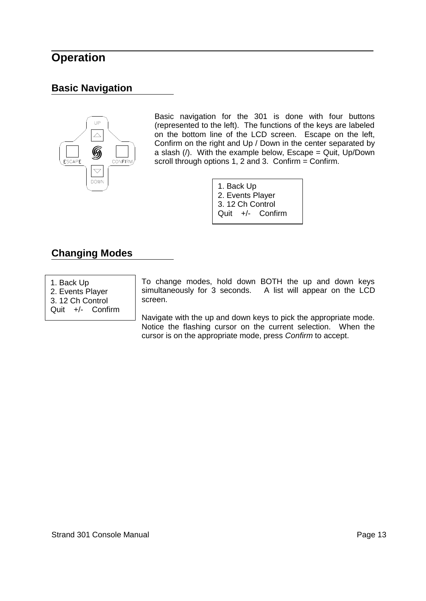## **Operation**

### **Basic Navigation**



Basic navigation for the 301 is done with four buttons (represented to the left). The functions of the keys are labeled on the bottom line of the LCD screen. Escape on the left, Confirm on the right and Up / Down in the center separated by a slash  $($ ). With the example below, Escape = Quit, Up/Down scroll through options 1, 2 and 3. Confirm = Confirm.

> 1. Back Up 2. Events Player 3. 12 Ch Control Quit +/- Confirm

### **Changing Modes**

- 1. Back Up
- 2. Events Player 3. 12 Ch Control

Quit +/- Confirm

To change modes, hold down BOTH the up and down keys simultaneously for 3 seconds. A list will appear on the LCD screen.

Navigate with the up and down keys to pick the appropriate mode. Notice the flashing cursor on the current selection. When the cursor is on the appropriate mode, press *Confirm* to accept.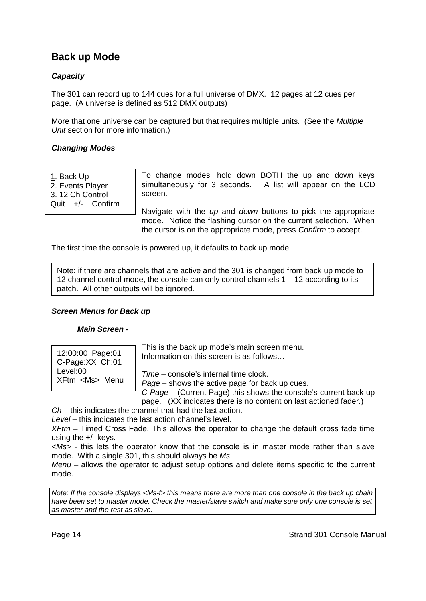### **Back up Mode**

#### *Capacity*

The 301 can record up to 144 cues for a full universe of DMX. 12 pages at 12 cues per page. (A universe is defined as 512 DMX outputs)

More that one universe can be captured but that requires multiple units. (See the *Multiple Unit* section for more information.)

#### *Changing Modes*

1. Back Up

2. Events Player

3. 12 Ch Control

Quit +/- Confirm

To change modes, hold down BOTH the up and down keys simultaneously for 3 seconds. A list will appear on the LCD screen.

Navigate with the *up* and *down* buttons to pick the appropriate mode. Notice the flashing cursor on the current selection. When the cursor is on the appropriate mode, press *Confirm* to accept.

The first time the console is powered up, it defaults to back up mode.

Note: if there are channels that are active and the 301 is changed from back up mode to 12 channel control mode, the console can only control channels  $1 - 12$  according to its patch. All other outputs will be ignored.

#### *Screen Menus for Back up*

#### *Main Screen -*

| 12:00:00 Page:01    | This is the back up mode's main screen menu.                     |
|---------------------|------------------------------------------------------------------|
| C-Page:XX Ch:01     | Information on this screen is as follows                         |
| Level:00            | Time – console's internal time clock.                            |
| XFtm <ms> Menu</ms> | Page – shows the active page for back up cues.                   |
|                     | C-Page – (Current Page) this shows the console's current back up |

page. (XX indicates there is no content on last actioned fader.)

*Ch* – this indicates the channel that had the last action.

*Level* – this indicates the last action channel's level.

*XFtm* – Timed Cross Fade. This allows the operator to change the default cross fade time using the +/- keys.

*<Ms>* - this lets the operator know that the console is in master mode rather than slave mode. With a single 301, this should always be *Ms*.

*Menu* – allows the operator to adjust setup options and delete items specific to the current mode.

*Note: If the console displays <Ms-f> this means there are more than one console in the back up chain have been set to master mode. Check the master/slave switch and make sure only one console is set as master and the rest as slave.*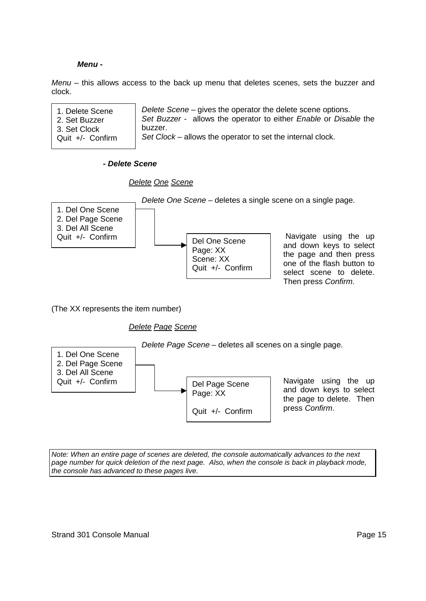#### *Menu -*

*Menu* – this allows access to the back up menu that deletes scenes, sets the buzzer and clock.

| 1. Delete Scene  | Delete Scene - gives the operator the delete scene options.      |
|------------------|------------------------------------------------------------------|
| 2. Set Buzzer    | Set Buzzer - allows the operator to either Enable or Disable the |
| 3. Set Clock     | buzzer.                                                          |
| Quit +/- Confirm | Set Clock - allows the operator to set the internal clock.       |

*- Delete Scene*

*Delete One Scene*

*Delete One Scene* – deletes a single scene on a single page.



(The XX represents the item number)

*Delete Page Scene*



*Note: When an entire page of scenes are deleted, the console automatically advances to the next page number for quick deletion of the next page. Also, when the console is back in playback mode, the console has advanced to these pages live.*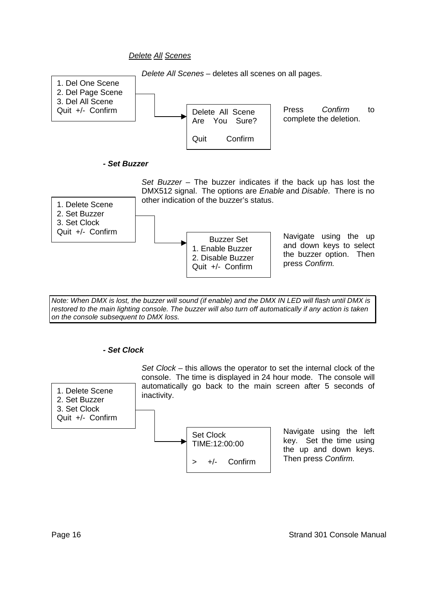*Delete All Scenes*



*Note: When DMX is lost, the buzzer will sound (if enable) and the DMX IN LED will flash until DMX is restored to the main lighting console. The buzzer will also turn off automatically if any action is taken on the console subsequent to DMX loss.*

#### *- Set Clock*

1. Delete Scene 2. Set Buzzer 3. Set Clock Quit +/- Confirm





Navigate using the left key. Set the time using the up and down keys. Then press *Confirm.*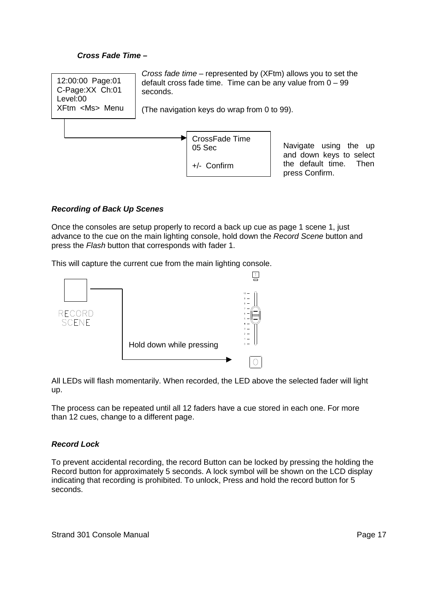#### *Cross Fade Time –*



+/- Confirm

Navigate using the up and down keys to select the default time. Then press Confirm.

#### *Recording of Back Up Scenes*

Once the consoles are setup properly to record a back up cue as page 1 scene 1, just advance to the cue on the main lighting console, hold down the *Record Scene* button and press the *Flash* button that corresponds with fader 1.

This will capture the current cue from the main lighting console.



All LEDs will flash momentarily. When recorded, the LED above the selected fader will light up.

The process can be repeated until all 12 faders have a cue stored in each one. For more than 12 cues, change to a different page.

#### *Record Lock*

To prevent accidental recording, the record Button can be locked by pressing the holding the Record button for approximately 5 seconds. A lock symbol will be shown on the LCD display indicating that recording is prohibited. To unlock, Press and hold the record button for 5 seconds.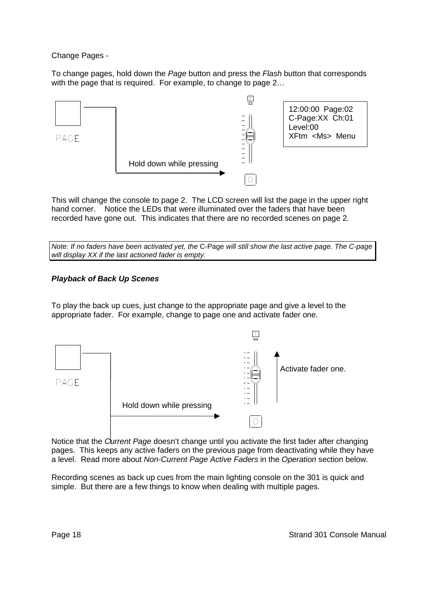Change Pages -

To change pages, hold down the *Page* button and press the *Flash* button that corresponds with the page that is required. For example, to change to page 2...



This will change the console to page 2. The LCD screen will list the page in the upper right hand corner. Notice the LEDs that were illuminated over the faders that have been recorded have gone out. This indicates that there are no recorded scenes on page 2.

*Note: If no faders have been activated yet, the* C-Page *will still show the last active page. The C-page will display XX if the last actioned fader is empty.*

#### *Playback of Back Up Scenes*

To play the back up cues, just change to the appropriate page and give a level to the appropriate fader. For example, change to page one and activate fader one.



Notice that the *Current Page* doesn't change until you activate the first fader after changing pages. This keeps any active faders on the previous page from deactivating while they have a level. Read more about *Non-Current Page Active Faders* in the *Operation* section below.

Recording scenes as back up cues from the main lighting console on the 301 is quick and simple. But there are a few things to know when dealing with multiple pages.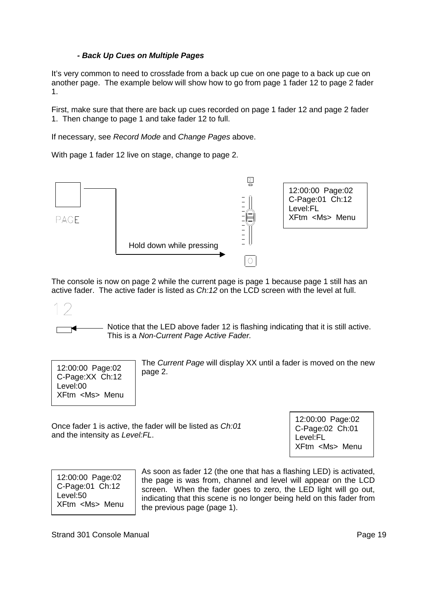#### *- Back Up Cues on Multiple Pages*

It's very common to need to crossfade from a back up cue on one page to a back up cue on another page. The example below will show how to go from page 1 fader 12 to page 2 fader 1.

First, make sure that there are back up cues recorded on page 1 fader 12 and page 2 fader 1. Then change to page 1 and take fader 12 to full.

If necessary, see *Record Mode* and *Change Pages* above.

With page 1 fader 12 live on stage, change to page 2.



The console is now on page 2 while the current page is page 1 because page 1 still has an active fader. The active fader is listed as *Ch:12* on the LCD screen with the level at full.

Notice that the LED above fader 12 is flashing indicating that it is still active. This is a *Non-Current Page Active Fader.*



The *Current Page* will display XX until a fader is moved on the new page 2.

Once fader 1 is active, the fader will be listed as *Ch:01* and the intensity as *Level:FL*.

12:00:00 Page:02 C-Page:02 Ch:01 Level:FL XFtm <Ms> Menu

12:00:00 Page:02 C-Page:01 Ch:12 Level:50 XFtm <Ms> Menu As soon as fader 12 (the one that has a flashing LED) is activated, the page is was from, channel and level will appear on the LCD screen. When the fader goes to zero, the LED light will go out, indicating that this scene is no longer being held on this fader from the previous page (page 1).

Strand 301 Console Manual **Page 19** and 2012 **Page 19** and 2012 **Page 19** and 2012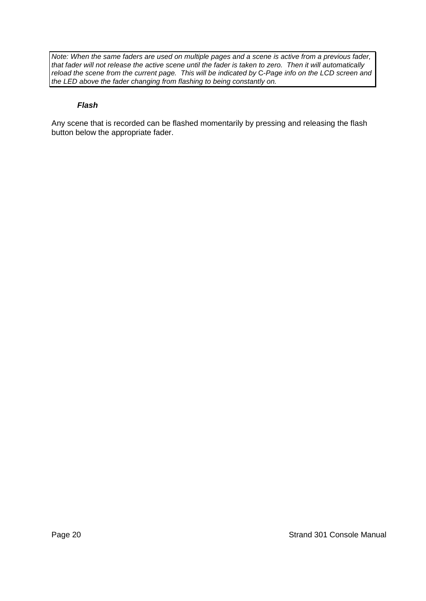*Note: When the same faders are used on multiple pages and a scene is active from a previous fader, that fader will not release the active scene until the fader is taken to zero. Then it will automatically reload the scene from the current page. This will be indicated by* C-*Page info on the LCD screen and the LED above the fader changing from flashing to being constantly on.*

#### *Flash*

Any scene that is recorded can be flashed momentarily by pressing and releasing the flash button below the appropriate fader.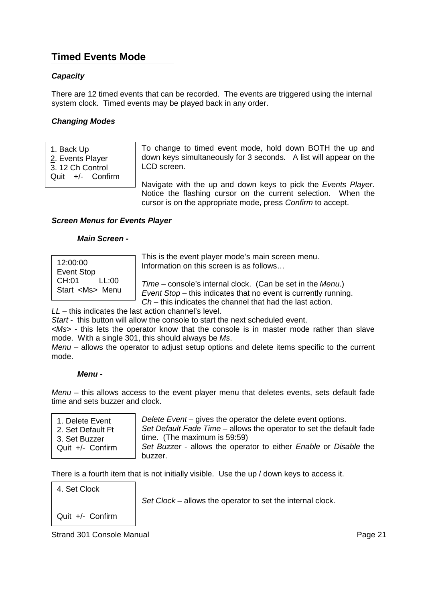### **Timed Events Mode**

#### *Capacity*

There are 12 timed events that can be recorded. The events are triggered using the internal system clock. Timed events may be played back in any order.

#### *Changing Modes*

1. Back Up

2. Events Player

3. 12 Ch Control Quit +/- Confirm To change to timed event mode, hold down BOTH the up and down keys simultaneously for 3 seconds. A list will appear on the LCD screen.

Navigate with the up and down keys to pick the *Events Player*. Notice the flashing cursor on the current selection. When the cursor is on the appropriate mode, press *Confirm* to accept.

#### *Screen Menus for Events Player*

#### *Main Screen -*

| 12:00:00             |       |  |
|----------------------|-------|--|
| <b>Event Stop</b>    |       |  |
| CH:01                | LL:00 |  |
| Start <ms> Menu</ms> |       |  |

This is the event player mode's main screen menu. Information on this screen is as follows…

*Time* – console's internal clock. (Can be set in the *Menu*.)

*Event Stop* – this indicates that no event is currently running.

*Ch* – this indicates the channel that had the last action.

*LL* – this indicates the last action channel's level.

*Start* - this button will allow the console to start the next scheduled event.

*<Ms>* - this lets the operator know that the console is in master mode rather than slave mode. With a single 301, this should always be *Ms*.

*Menu* – allows the operator to adjust setup options and delete items specific to the current mode.

#### *Menu -*

*Menu* – this allows access to the event player menu that deletes events, sets default fade time and sets buzzer and clock.

1. Delete Event 2. Set Default Ft 3. Set Buzzer Quit +/- Confirm *Delete Event* – gives the operator the delete event options. *Set Default Fade Time* – allows the operator to set the default fade time. (The maximum is 59:59) *Set Buzzer* - allows the operator to either *Enable* or *Disable* the

buzzer.

There is a fourth item that is not initially visible. Use the up / down keys to access it.

#### 4. Set Clock

*Set Clock* – allows the operator to set the internal clock.

Quit +/- Confirm

#### Strand 301 Console Manual **Page 21 Page 21**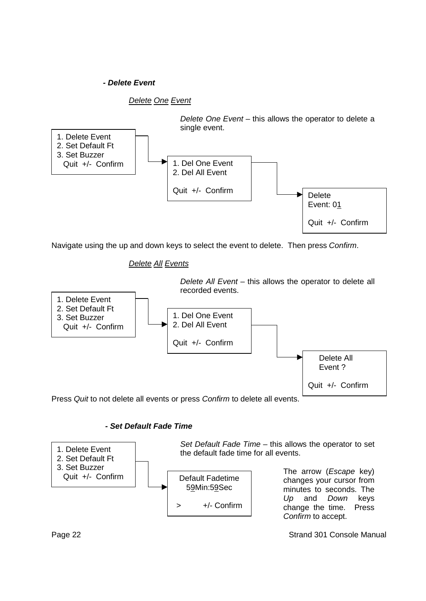#### *- Delete Event*

*Delete One Event*



Navigate using the up and down keys to select the event to delete. Then press *Confirm*.

*Delete All Events*



Press *Quit* to not delete all events or press *Confirm* to delete all events.

#### *- Set Default Fade Time*



Page 22 Strand 301 Console Manual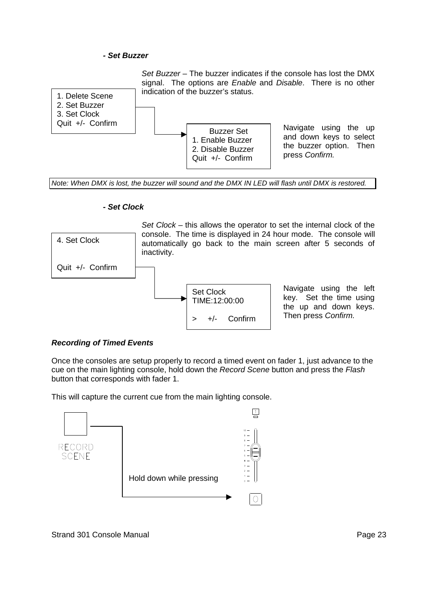#### *- Set Buzzer*





Navigate using the up and down keys to select the buzzer option. Then press *Confirm.*

*Note: When DMX is lost, the buzzer will sound and the DMX IN LED will flash until DMX is restored.*

#### *- Set Clock*



#### *Recording of Timed Events*

Once the consoles are setup properly to record a timed event on fader 1, just advance to the cue on the main lighting console, hold down the *Record Scene* button and press the *Flash* button that corresponds with fader 1.

This will capture the current cue from the main lighting console.

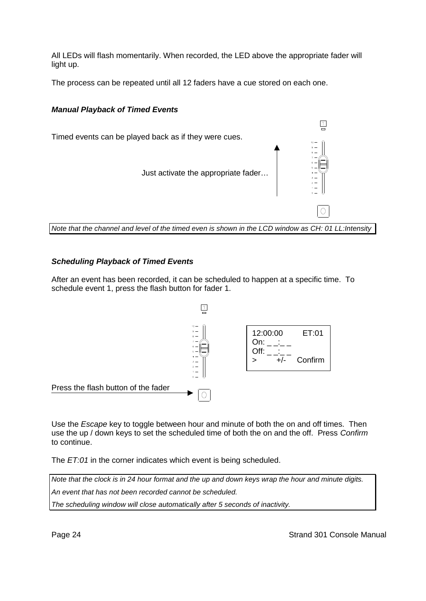All LEDs will flash momentarily. When recorded, the LED above the appropriate fader will light up.

The process can be repeated until all 12 faders have a cue stored on each one.

#### *Manual Playback of Timed Events*



#### *Scheduling Playback of Timed Events*

After an event has been recorded, it can be scheduled to happen at a specific time. To schedule event 1, press the flash button for fader 1.



Use the *Escape* key to toggle between hour and minute of both the on and off times. Then use the up / down keys to set the scheduled time of both the on and the off. Press *Confirm* to continue.

The *ET:01* in the corner indicates which event is being scheduled.

*Note that the clock is in 24 hour format and the up and down keys wrap the hour and minute digits. An event that has not been recorded cannot be scheduled. The scheduling window will close automatically after 5 seconds of inactivity.*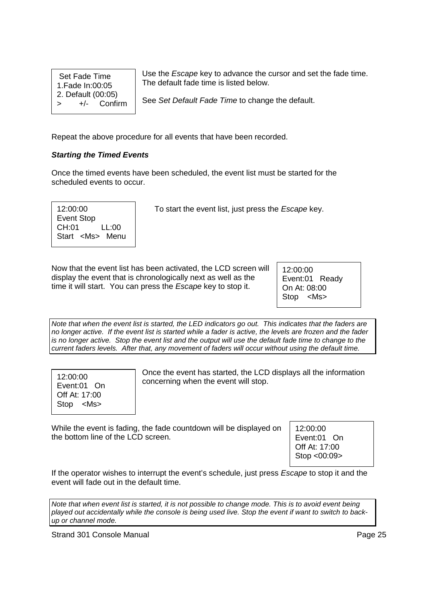Set Fade Time 1.Fade In:00:05 2. Default (00:05) > +/- Confirm Use the *Escape* key to advance the cursor and set the fade time. The default fade time is listed below.

See *Set Default Fade Time* to change the default.

Repeat the above procedure for all events that have been recorded.

#### *Starting the Timed Events*

Once the timed events have been scheduled, the event list must be started for the scheduled events to occur.

12:00:00 Event Stop CH:01 LL:00 Start <Ms> Menu

To start the event list, just press the *Escape* key.

Now that the event list has been activated, the LCD screen will display the event that is chronologically next as well as the time it will start. You can press the *Escape* key to stop it.

12:00:00 Event:01 Ready On At: 08:00 Stop <Ms>

*Note that when the event list is started, the LED indicators go out. This indicates that the faders are no longer active. If the event list is started while a fader is active, the levels are frozen and the fader is no longer active. Stop the event list and the output will use the default fade time to change to the current faders levels. After that, any movement of faders will occur without using the default time.*

| 12:00:00           |  |  |
|--------------------|--|--|
| Event:01 On        |  |  |
| Off At: 17:00      |  |  |
| <ms><br/>Stop</ms> |  |  |

Once the event has started, the LCD displays all the information concerning when the event will stop.

While the event is fading, the fade countdown will be displayed on the bottom line of the LCD screen.

12:00:00 Event:01 On Off At: 17:00 Stop <00:09>

If the operator wishes to interrupt the event's schedule, just press *Escape* to stop it and the event will fade out in the default time.

*Note that when event list is started, it is not possible to change mode. This is to avoid event being played out accidentally while the console is being used live. Stop the event if want to switch to backup or channel mode.*

Strand 301 Console Manual **Page 25** and 2011 **Page 25**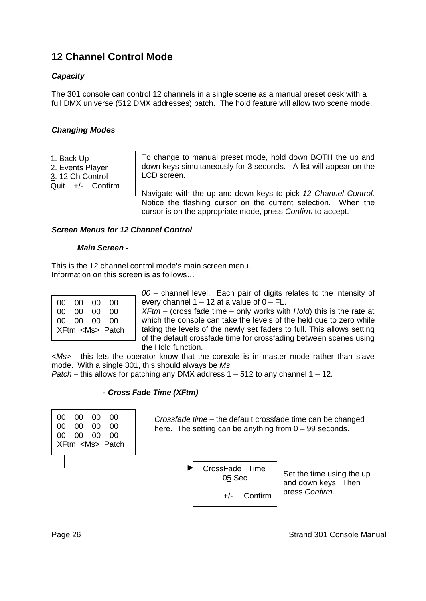### **12 Channel Control Mode**

#### *Capacity*

The 301 console can control 12 channels in a single scene as a manual preset desk with a full DMX universe (512 DMX addresses) patch. The hold feature will allow two scene mode.

#### *Changing Modes*

1. Back Up 2. Events Player 3. 12 Ch Control Quit +/- Confirm To change to manual preset mode, hold down BOTH the up and down keys simultaneously for 3 seconds. A list will appear on the LCD screen.

Navigate with the up and down keys to pick *12 Channel Control*. Notice the flashing cursor on the current selection. When the cursor is on the appropriate mode, press *Confirm* to accept.

#### *Screen Menus for 12 Channel Control*

#### *Main Screen -*

This is the 12 channel control mode's main screen menu. Information on this screen is as follows…

| 00 00 00 00 |                      |
|-------------|----------------------|
| 00 00 00 00 |                      |
| 00 00 00 00 |                      |
|             | XFtm <ms> Patch</ms> |
|             |                      |

*00* – channel level. Each pair of digits relates to the intensity of every channel  $1 - 12$  at a value of  $0 - FL$ .

*XFtm* – (cross fade time – only works with *Hold*) this is the rate at which the console can take the levels of the held cue to zero while taking the levels of the newly set faders to full. This allows setting of the default crossfade time for crossfading between scenes using the Hold function.

*<Ms>* - this lets the operator know that the console is in master mode rather than slave mode. With a single 301, this should always be *Ms*.

*Patch* – this allows for patching any DMX address 1 – 512 to any channel 1 – 12.

#### *- Cross Fade Time (XFtm)*

00 00 00 00 00 00 00 00 00 00 00 00 XFtm <Ms> Patch

*Crossfade time* – the default crossfade time can be changed here. The setting can be anything from  $0 - 99$  seconds.



Set the time using the up and down keys. Then press *Confirm.*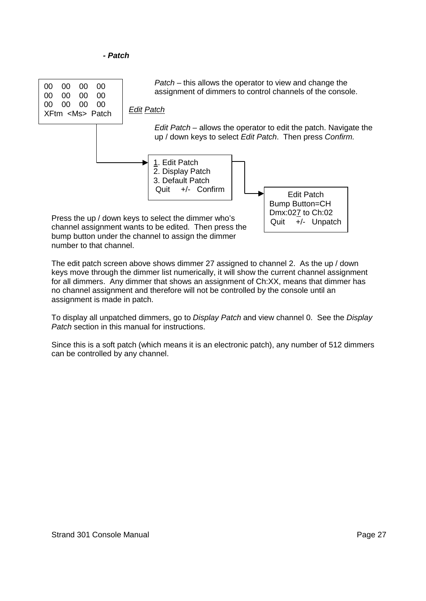*- Patch*



The edit patch screen above shows dimmer 27 assigned to channel 2. As the up / down keys move through the dimmer list numerically, it will show the current channel assignment for all dimmers. Any dimmer that shows an assignment of Ch:XX, means that dimmer has no channel assignment and therefore will not be controlled by the console until an assignment is made in patch.

To display all unpatched dimmers, go to *Display Patch* and view channel 0. See the *Display Patch* section in this manual for instructions.

Since this is a soft patch (which means it is an electronic patch), any number of 512 dimmers can be controlled by any channel.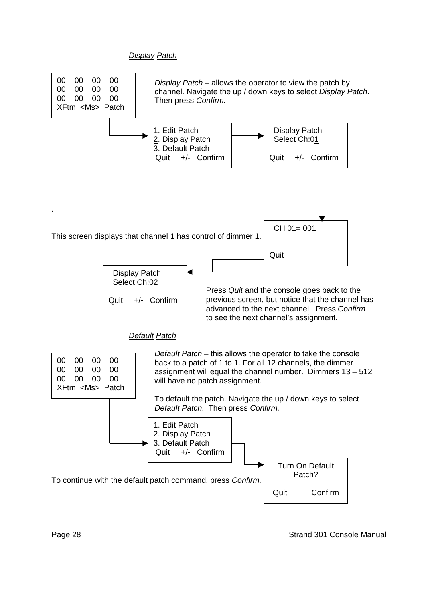#### *Display Patch*

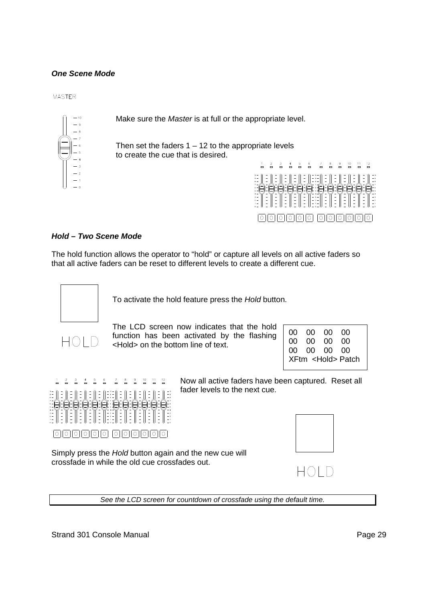#### *One Scene Mode*

**MASTER** 



Make sure the *Master* is at full or the appropriate level.

Then set the faders  $1 - 12$  to the appropriate levels to create the cue that is desired.



#### *Hold – Two Scene Mode*

The hold function allows the operator to "hold" or capture all levels on all active faders so that all active faders can be reset to different levels to create a different cue.



To activate the hold feature press the *Hold* button.



The LCD screen now indicates that the hold function has been activated by the flashing <Hold> on the bottom line of text.

|  | 00 00 00 00<br>00 00 00 00<br>00 00 00 00<br>XFtm <hold> Patch</hold> |
|--|-----------------------------------------------------------------------|
|  |                                                                       |
|  |                                                                       |
|  |                                                                       |
|  |                                                                       |



Now all active faders have been captured. Reset all fader levels to the next cue.

0000000 000000

Simply press the *Hold* button again and the new cue will crossfade in while the old cue crossfades out.

*See the LCD screen for countdown of crossfade using the default time.*

Strand 301 Console Manual **Page 29** 



HOLD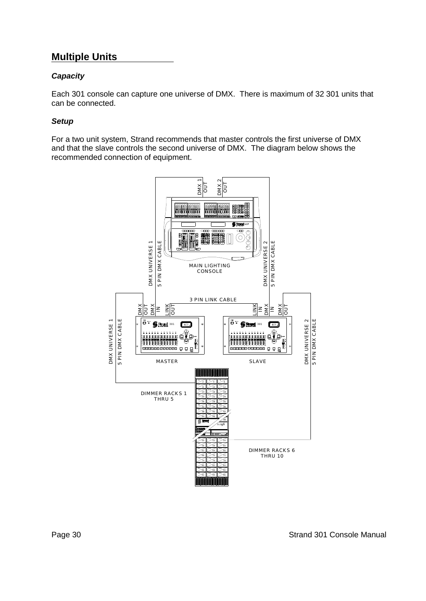### **Multiple Units**

#### *Capacity*

Each 301 console can capture one universe of DMX. There is maximum of 32 301 units that can be connected.

#### *Setup*

For a two unit system, Strand recommends that master controls the first universe of DMX and that the slave controls the second universe of DMX. The diagram below shows the recommended connection of equipment.

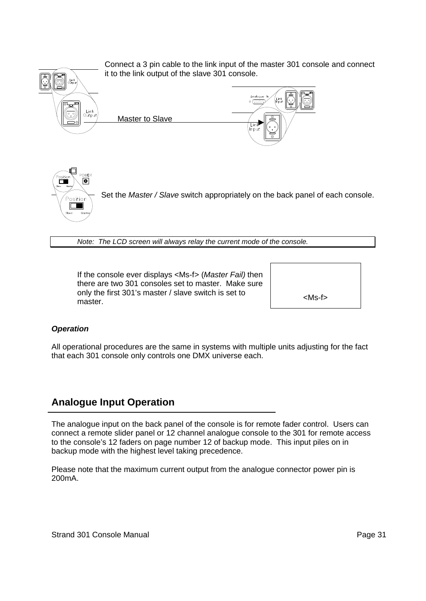

*Note: The LCD screen will always relay the current mode of the console.*

If the console ever displays <Ms-f> (*Master Fail)* then there are two 301 consoles set to master. Make sure only the first 301's master / slave switch is set to master.

<Ms-f>

#### *Operation*

All operational procedures are the same in systems with multiple units adjusting for the fact that each 301 console only controls one DMX universe each.

### **Analogue Input Operation**

The analogue input on the back panel of the console is for remote fader control. Users can connect a remote slider panel or 12 channel analogue console to the 301 for remote access to the console's 12 faders on page number 12 of backup mode. This input piles on in backup mode with the highest level taking precedence.

Please note that the maximum current output from the analogue connector power pin is 200mA.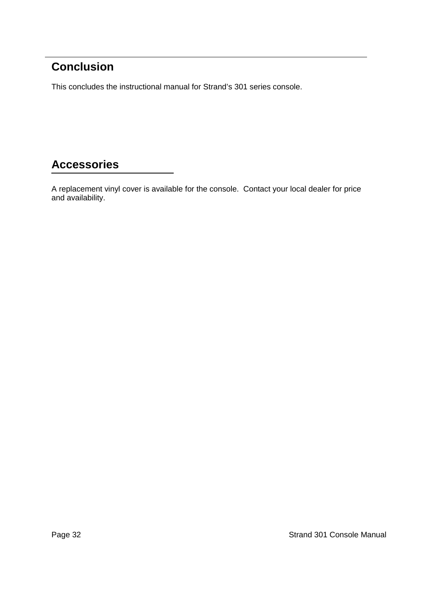# **Conclusion**

This concludes the instructional manual for Strand's 301 series console.

# **Accessories**

A replacement vinyl cover is available for the console. Contact your local dealer for price and availability.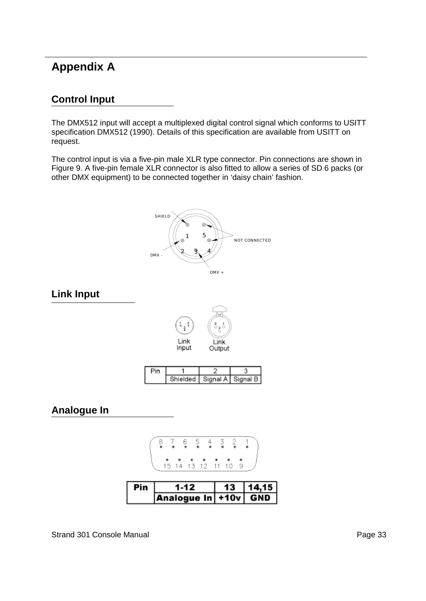## **Appendix A**

### **Control Input**

The DMX512 input will accept a multiplexed digital control signal which conforms to USITT specification DMX512 (1990). Details of this specification are available from USITT on request.

The control input is via a five-pin male XLR type connector. Pin connections are shown in Figure 9. A five-pin female XLR connector is also fitted to allow a series of SD 6 packs (or other DMX equipment) to be connected together in 'daisy chain' fashion.

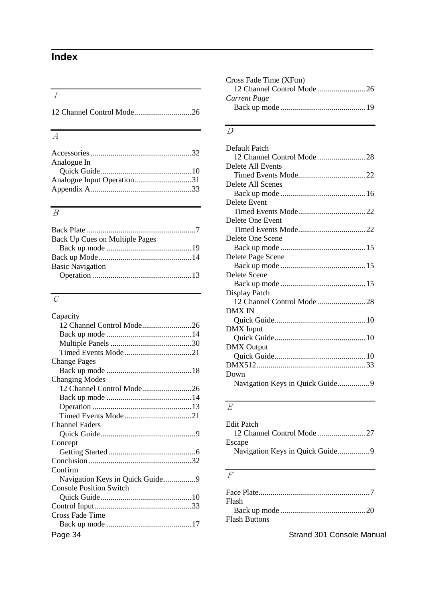# **Index**

# *1*

### *A*

| Analogue In                |  |
|----------------------------|--|
|                            |  |
| Analogue Input Operation31 |  |
|                            |  |
|                            |  |

### *B*

| Back Up Cues on Multiple Pages |  |
|--------------------------------|--|
|                                |  |
|                                |  |
| <b>Basic Navigation</b>        |  |
|                                |  |
|                                |  |

### *C*

|                                | <b>DMX IN</b>              |
|--------------------------------|----------------------------|
| Capacity                       |                            |
| 12 Channel Control Mode26      | DMX Input                  |
|                                |                            |
|                                | <b>DMX</b> Output          |
|                                |                            |
| <b>Change Pages</b>            |                            |
|                                | Down                       |
| <b>Changing Modes</b>          |                            |
|                                |                            |
|                                |                            |
|                                | E                          |
|                                |                            |
| <b>Channel Faders</b>          | <b>Edit Patch</b>          |
|                                | 12 Channel Control Mode 27 |
| Concept                        | Escape                     |
|                                |                            |
|                                |                            |
| Confirm                        |                            |
|                                | $\overline{F}$             |
| <b>Console Position Switch</b> |                            |
|                                |                            |
|                                | Flash                      |
| Cross Fade Time                |                            |
|                                | <b>Flash Buttons</b>       |
| Page 34                        | Strand 301 Console Manual  |

| Cross Fade Time (XFtm) |  |
|------------------------|--|
|                        |  |
| Current Page           |  |
|                        |  |
|                        |  |

### *D*

 $\overline{\phantom{0}}$ 

### *E*

| Edit Patch |  |
|------------|--|
|            |  |
| Escape     |  |
|            |  |
|            |  |

### *F*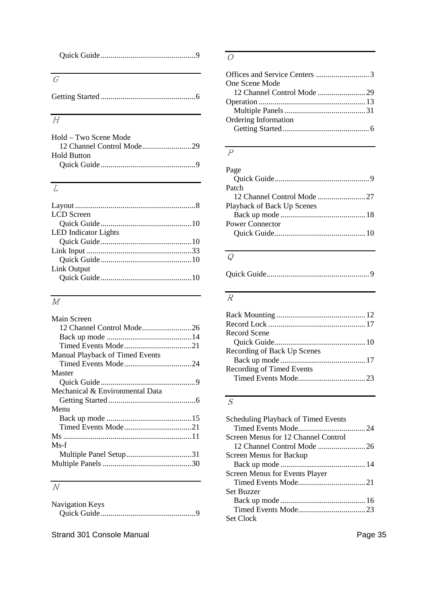## *G*

|--|--|--|--|--|--|

### *H*

| Hold – Two Scene Mode |  |
|-----------------------|--|
|                       |  |
| <b>Hold Button</b>    |  |
|                       |  |

### *L*

| LCD Screen                  |  |
|-----------------------------|--|
|                             |  |
| <b>LED</b> Indicator Lights |  |
|                             |  |
|                             |  |
|                             |  |
| Link Output                 |  |
|                             |  |
|                             |  |

# *M*

| Main Screen                     |  |
|---------------------------------|--|
| 12 Channel Control Mode26       |  |
|                                 |  |
|                                 |  |
| Manual Playback of Timed Events |  |
|                                 |  |
| Master                          |  |
|                                 |  |
| Mechanical & Environmental Data |  |
|                                 |  |
| Menu                            |  |
|                                 |  |
|                                 |  |
|                                 |  |
| Ms-f                            |  |
|                                 |  |
|                                 |  |

## *N*

| <b>Navigation Keys</b> |  |
|------------------------|--|
|                        |  |

Strand 301 Console Manual **Page 35** Strand 301 Console Manual

### *O*

| <b>One Scene Mode</b> |  |
|-----------------------|--|
|                       |  |
|                       |  |
|                       |  |
| Ordering Information  |  |
|                       |  |
|                       |  |

### *P*

 $\overline{a}$ 

| Page                       |
|----------------------------|
|                            |
| Patch                      |
|                            |
| Playback of Back Up Scenes |
|                            |
| <b>Power Connector</b>     |
|                            |
|                            |

### *Q*

|--|

### *R*

| Record Scene                |  |
|-----------------------------|--|
|                             |  |
| Recording of Back Up Scenes |  |
|                             |  |
| Recording of Timed Events   |  |
|                             |  |
|                             |  |

## *S*

| Scheduling Playback of Timed Events |
|-------------------------------------|
|                                     |
| Screen Menus for 12 Channel Control |
|                                     |
| Screen Menus for Backup             |
|                                     |
| Screen Menus for Events Player      |
|                                     |
| <b>Set Buzzer</b>                   |
|                                     |
|                                     |
| Set Clock                           |